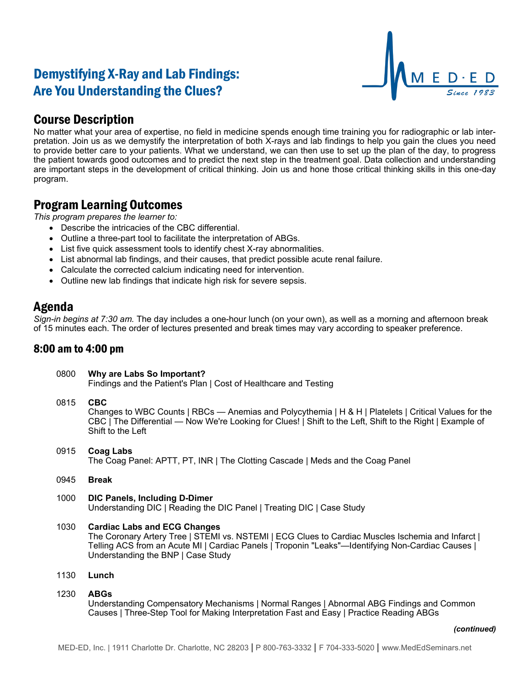# Demystifying X-Ray and Lab Findings: Are You Understanding the Clues?



## Course Description

No matter what your area of expertise, no field in medicine spends enough time training you for radiographic or lab interpretation. Join us as we demystify the interpretation of both X-rays and lab findings to help you gain the clues you need to provide better care to your patients. What we understand, we can then use to set up the plan of the day, to progress the patient towards good outcomes and to predict the next step in the treatment goal. Data collection and understanding are important steps in the development of critical thinking. Join us and hone those critical thinking skills in this one-day program.

### Program Learning Outcomes

*This program prepares the learner to:*

- Describe the intricacies of the CBC differential.
- Outline a three-part tool to facilitate the interpretation of ABGs.
- List five quick assessment tools to identify chest X-ray abnormalities.
- List abnormal lab findings, and their causes, that predict possible acute renal failure.
- Calculate the corrected calcium indicating need for intervention.
- Outline new lab findings that indicate high risk for severe sepsis.

### Agenda

*Sign-in begins at 7:30 am.* The day includes a one-hour lunch (on your own), as well as a morning and afternoon break of 15 minutes each. The order of lectures presented and break times may vary according to speaker preference.

### 8:00 am to 4:00 pm

| 0800 | Why are Labs So Important?<br>Findings and the Patient's Plan   Cost of Healthcare and Testing                                                                                                                                                                                      |
|------|-------------------------------------------------------------------------------------------------------------------------------------------------------------------------------------------------------------------------------------------------------------------------------------|
| 0815 | <b>CBC</b><br>Changes to WBC Counts   RBCs — Anemias and Polycythemia   H & H   Platelets   Critical Values for the<br>CBC   The Differential — Now We're Looking for Clues!   Shift to the Left, Shift to the Right   Example of<br>Shift to the Left                              |
| 0915 | Coag Labs<br>The Coag Panel: APTT, PT, INR   The Clotting Cascade   Meds and the Coag Panel                                                                                                                                                                                         |
| 0945 | <b>Break</b>                                                                                                                                                                                                                                                                        |
| 1000 | <b>DIC Panels, Including D-Dimer</b><br>Understanding DIC   Reading the DIC Panel   Treating DIC   Case Study                                                                                                                                                                       |
| 1030 | <b>Cardiac Labs and ECG Changes</b><br>The Coronary Artery Tree   STEMI vs. NSTEMI   ECG Clues to Cardiac Muscles Ischemia and Infarct  <br>Telling ACS from an Acute MI   Cardiac Panels   Troponin "Leaks"—Identifying Non-Cardiac Causes  <br>Understanding the BNP   Case Study |
| 1130 | Lunch                                                                                                                                                                                                                                                                               |
| 1230 | <b>ABGs</b><br>Understanding Compensatory Mechanisms   Normal Ranges   Abnormal ABG Findings and Common<br>Causes   Three-Step Tool for Making Interpretation Fast and Easy   Practice Reading ABGs                                                                                 |